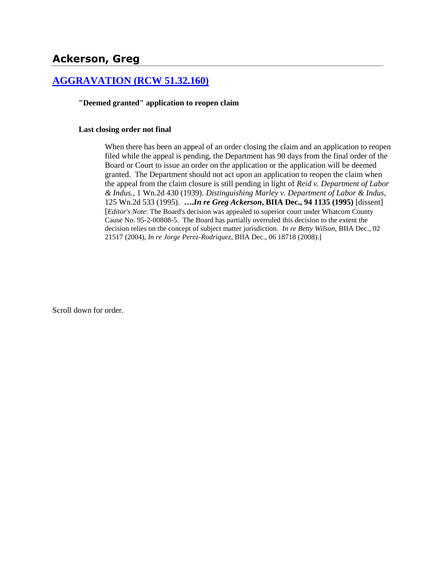# **Ackerson, Greg**

## **[AGGRAVATION \(RCW 51.32.160\)](http://www.biia.wa.gov/SDSubjectIndex.html#AGGRAVATION)**

#### **"Deemed granted" application to reopen claim**

#### **Last closing order not final**

When there has been an appeal of an order closing the claim and an application to reopen filed while the appeal is pending, the Department has 90 days from the final order of the Board or Court to issue an order on the application or the application will be deemed granted. The Department should not act upon an application to reopen the claim when the appeal from the claim closure is still pending in light of *Reid v. Department of Labor & Indus.*, 1 Wn.2d 430 (1939). *Distinguishing Marley v. Department of Labor & Indus*, 125 Wn.2d 533 (1995). **….***In re Greg Ackerson***, BIIA Dec., 94 1135 (1995)** [dissent] [*Editor's Note*: The Board's decision was appealed to superior court under Whatcom County Cause No. 95-2-00808-5. The Board has partially overruled this decision to the extent the decision relies on the concept of subject matter jurisdiction. *In re Betty Wilson,* BIIA Dec.[, 02](http://www.biia.wa.gov/significantdecisions/0221517.htm)  [21517](http://www.biia.wa.gov/significantdecisions/0221517.htm) (2004), *In re Jorge Perez-Rodriquez,* BIIA Dec., [06 18718](http://www.biia.wa.gov/significantdecisions/0618718.htm) (2008).]

Scroll down for order.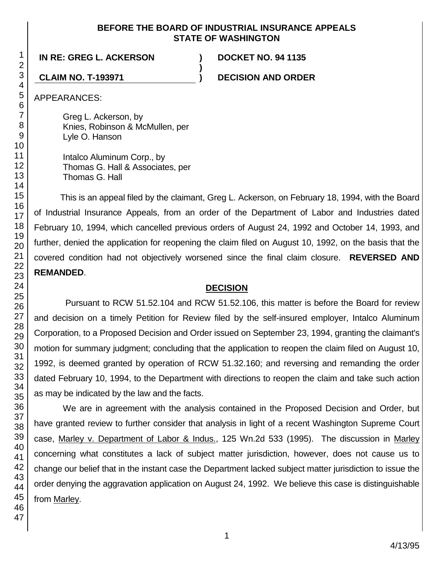### **BEFORE THE BOARD OF INDUSTRIAL INSURANCE APPEALS STATE OF WASHINGTON**

**)**

# **IN RE: GREG L. ACKERSON ) DOCKET NO. 94 1135**

**CLAIM NO. T-193971 ) DECISION AND ORDER**

APPEARANCES:

Greg L. Ackerson, by Knies, Robinson & McMullen, per Lyle O. Hanson

Intalco Aluminum Corp., by Thomas G. Hall & Associates, per Thomas G. Hall

This is an appeal filed by the claimant, Greg L. Ackerson, on February 18, 1994, with the Board of Industrial Insurance Appeals, from an order of the Department of Labor and Industries dated February 10, 1994, which cancelled previous orders of August 24, 1992 and October 14, 1993, and further, denied the application for reopening the claim filed on August 10, 1992, on the basis that the covered condition had not objectively worsened since the final claim closure. **REVERSED AND REMANDED**.

# **DECISION**

Pursuant to RCW 51.52.104 and RCW 51.52.106, this matter is before the Board for review and decision on a timely Petition for Review filed by the self-insured employer, Intalco Aluminum Corporation, to a Proposed Decision and Order issued on September 23, 1994, granting the claimant's motion for summary judgment; concluding that the application to reopen the claim filed on August 10, 1992, is deemed granted by operation of RCW 51.32.160; and reversing and remanding the order dated February 10, 1994, to the Department with directions to reopen the claim and take such action as may be indicated by the law and the facts.

We are in agreement with the analysis contained in the Proposed Decision and Order, but have granted review to further consider that analysis in light of a recent Washington Supreme Court case, Marley v. Department of Labor & Indus., 125 Wn.2d 533 (1995). The discussion in Marley concerning what constitutes a lack of subject matter jurisdiction, however, does not cause us to change our belief that in the instant case the Department lacked subject matter jurisdiction to issue the order denying the aggravation application on August 24, 1992. We believe this case is distinguishable from Marley.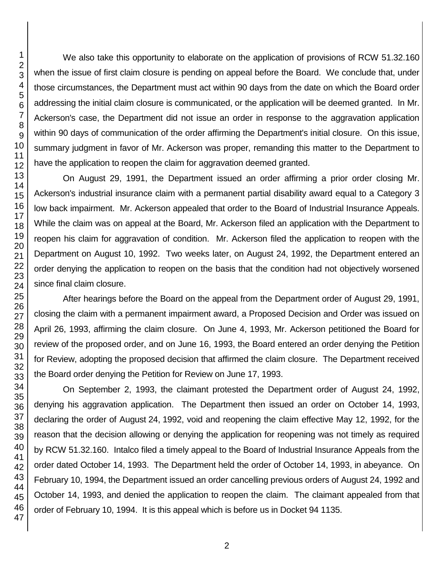We also take this opportunity to elaborate on the application of provisions of RCW 51.32.160 when the issue of first claim closure is pending on appeal before the Board. We conclude that, under those circumstances, the Department must act within 90 days from the date on which the Board order addressing the initial claim closure is communicated, or the application will be deemed granted. In Mr. Ackerson's case, the Department did not issue an order in response to the aggravation application within 90 days of communication of the order affirming the Department's initial closure. On this issue, summary judgment in favor of Mr. Ackerson was proper, remanding this matter to the Department to have the application to reopen the claim for aggravation deemed granted.

On August 29, 1991, the Department issued an order affirming a prior order closing Mr. Ackerson's industrial insurance claim with a permanent partial disability award equal to a Category 3 low back impairment. Mr. Ackerson appealed that order to the Board of Industrial Insurance Appeals. While the claim was on appeal at the Board, Mr. Ackerson filed an application with the Department to reopen his claim for aggravation of condition. Mr. Ackerson filed the application to reopen with the Department on August 10, 1992. Two weeks later, on August 24, 1992, the Department entered an order denying the application to reopen on the basis that the condition had not objectively worsened since final claim closure.

After hearings before the Board on the appeal from the Department order of August 29, 1991, closing the claim with a permanent impairment award, a Proposed Decision and Order was issued on April 26, 1993, affirming the claim closure. On June 4, 1993, Mr. Ackerson petitioned the Board for review of the proposed order, and on June 16, 1993, the Board entered an order denying the Petition for Review, adopting the proposed decision that affirmed the claim closure. The Department received the Board order denying the Petition for Review on June 17, 1993.

On September 2, 1993, the claimant protested the Department order of August 24, 1992, denying his aggravation application. The Department then issued an order on October 14, 1993, declaring the order of August 24, 1992, void and reopening the claim effective May 12, 1992, for the reason that the decision allowing or denying the application for reopening was not timely as required by RCW 51.32.160. Intalco filed a timely appeal to the Board of Industrial Insurance Appeals from the order dated October 14, 1993. The Department held the order of October 14, 1993, in abeyance. On February 10, 1994, the Department issued an order cancelling previous orders of August 24, 1992 and October 14, 1993, and denied the application to reopen the claim. The claimant appealed from that order of February 10, 1994. It is this appeal which is before us in Docket 94 1135.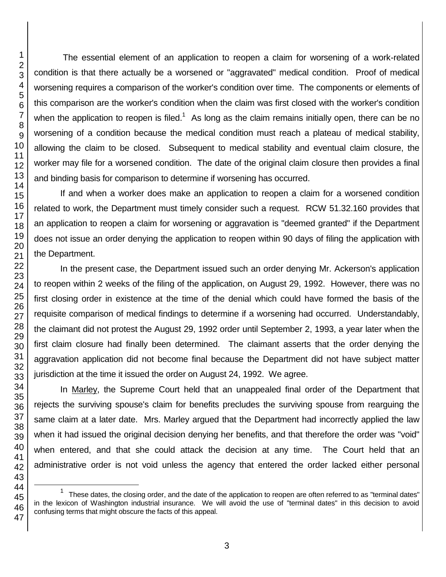The essential element of an application to reopen a claim for worsening of a work-related condition is that there actually be a worsened or "aggravated" medical condition. Proof of medical worsening requires a comparison of the worker's condition over time. The components or elements of this comparison are the worker's condition when the claim was first closed with the worker's condition when the application to reopen is filed.<sup>1</sup> As long as the claim remains initially open, there can be no worsening of a condition because the medical condition must reach a plateau of medical stability, allowing the claim to be closed. Subsequent to medical stability and eventual claim closure, the worker may file for a worsened condition. The date of the original claim closure then provides a final and binding basis for comparison to determine if worsening has occurred.

If and when a worker does make an application to reopen a claim for a worsened condition related to work, the Department must timely consider such a request. RCW 51.32.160 provides that an application to reopen a claim for worsening or aggravation is "deemed granted" if the Department does not issue an order denying the application to reopen within 90 days of filing the application with the Department.

In the present case, the Department issued such an order denying Mr. Ackerson's application to reopen within 2 weeks of the filing of the application, on August 29, 1992. However, there was no first closing order in existence at the time of the denial which could have formed the basis of the requisite comparison of medical findings to determine if a worsening had occurred. Understandably, the claimant did not protest the August 29, 1992 order until September 2, 1993, a year later when the first claim closure had finally been determined. The claimant asserts that the order denying the aggravation application did not become final because the Department did not have subject matter jurisdiction at the time it issued the order on August 24, 1992. We agree.

In Marley, the Supreme Court held that an unappealed final order of the Department that rejects the surviving spouse's claim for benefits precludes the surviving spouse from rearguing the same claim at a later date. Mrs. Marley argued that the Department had incorrectly applied the law when it had issued the original decision denying her benefits, and that therefore the order was "void" when entered, and that she could attack the decision at any time. The Court held that an administrative order is not void unless the agency that entered the order lacked either personal

l

 These dates, the closing order, and the date of the application to reopen are often referred to as "terminal dates" in the lexicon of Washington industrial insurance. We will avoid the use of "terminal dates" in this decision to avoid confusing terms that might obscure the facts of this appeal.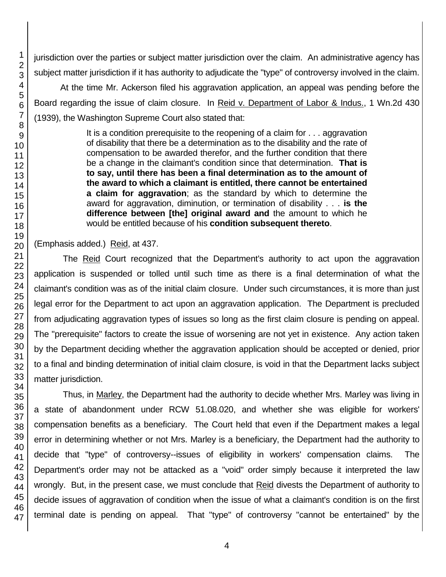jurisdiction over the parties or subject matter jurisdiction over the claim. An administrative agency has subject matter jurisdiction if it has authority to adjudicate the "type" of controversy involved in the claim.

At the time Mr. Ackerson filed his aggravation application, an appeal was pending before the Board regarding the issue of claim closure. In Reid v. Department of Labor & Indus., 1 Wn.2d 430 (1939), the Washington Supreme Court also stated that:

> It is a condition prerequisite to the reopening of a claim for . . . aggravation of disability that there be a determination as to the disability and the rate of compensation to be awarded therefor, and the further condition that there be a change in the claimant's condition since that determination. **That is to say, until there has been a final determination as to the amount of the award to which a claimant is entitled, there cannot be entertained a claim for aggravation**; as the standard by which to determine the award for aggravation, diminution, or termination of disability . . . **is the difference between [the] original award and** the amount to which he would be entitled because of his **condition subsequent thereto**.

(Emphasis added.) Reid, at 437.

The Reid Court recognized that the Department's authority to act upon the aggravation application is suspended or tolled until such time as there is a final determination of what the claimant's condition was as of the initial claim closure. Under such circumstances, it is more than just legal error for the Department to act upon an aggravation application. The Department is precluded from adjudicating aggravation types of issues so long as the first claim closure is pending on appeal. The "prerequisite" factors to create the issue of worsening are not yet in existence. Any action taken by the Department deciding whether the aggravation application should be accepted or denied, prior to a final and binding determination of initial claim closure, is void in that the Department lacks subject matter jurisdiction.

Thus, in Marley, the Department had the authority to decide whether Mrs. Marley was living in a state of abandonment under RCW 51.08.020, and whether she was eligible for workers' compensation benefits as a beneficiary. The Court held that even if the Department makes a legal error in determining whether or not Mrs. Marley is a beneficiary, the Department had the authority to decide that "type" of controversy--issues of eligibility in workers' compensation claims. The Department's order may not be attacked as a "void" order simply because it interpreted the law wrongly. But, in the present case, we must conclude that Reid divests the Department of authority to decide issues of aggravation of condition when the issue of what a claimant's condition is on the first terminal date is pending on appeal. That "type" of controversy "cannot be entertained" by the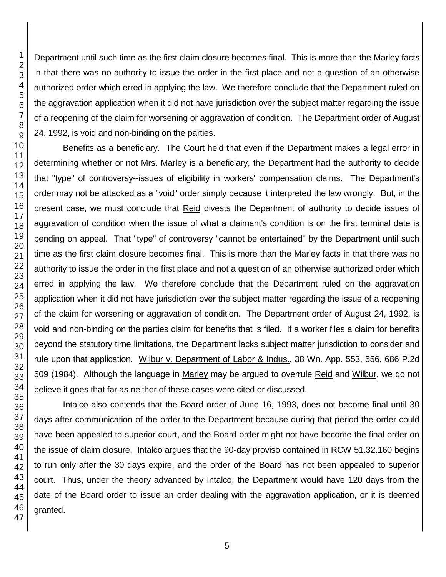Department until such time as the first claim closure becomes final. This is more than the Marley facts in that there was no authority to issue the order in the first place and not a question of an otherwise authorized order which erred in applying the law. We therefore conclude that the Department ruled on the aggravation application when it did not have jurisdiction over the subject matter regarding the issue of a reopening of the claim for worsening or aggravation of condition. The Department order of August 24, 1992, is void and non-binding on the parties.

Benefits as a beneficiary. The Court held that even if the Department makes a legal error in determining whether or not Mrs. Marley is a beneficiary, the Department had the authority to decide that "type" of controversy--issues of eligibility in workers' compensation claims. The Department's order may not be attacked as a "void" order simply because it interpreted the law wrongly. But, in the present case, we must conclude that Reid divests the Department of authority to decide issues of aggravation of condition when the issue of what a claimant's condition is on the first terminal date is pending on appeal. That "type" of controversy "cannot be entertained" by the Department until such time as the first claim closure becomes final. This is more than the Marley facts in that there was no authority to issue the order in the first place and not a question of an otherwise authorized order which erred in applying the law. We therefore conclude that the Department ruled on the aggravation application when it did not have jurisdiction over the subject matter regarding the issue of a reopening of the claim for worsening or aggravation of condition. The Department order of August 24, 1992, is void and non-binding on the parties claim for benefits that is filed. If a worker files a claim for benefits beyond the statutory time limitations, the Department lacks subject matter jurisdiction to consider and rule upon that application. Wilbur v. Department of Labor & Indus., 38 Wn. App. 553, 556, 686 P.2d 509 (1984). Although the language in Marley may be argued to overrule Reid and Wilbur, we do not believe it goes that far as neither of these cases were cited or discussed.

Intalco also contends that the Board order of June 16, 1993, does not become final until 30 days after communication of the order to the Department because during that period the order could have been appealed to superior court, and the Board order might not have become the final order on the issue of claim closure. Intalco argues that the 90-day proviso contained in RCW 51.32.160 begins to run only after the 30 days expire, and the order of the Board has not been appealed to superior court. Thus, under the theory advanced by Intalco, the Department would have 120 days from the date of the Board order to issue an order dealing with the aggravation application, or it is deemed granted.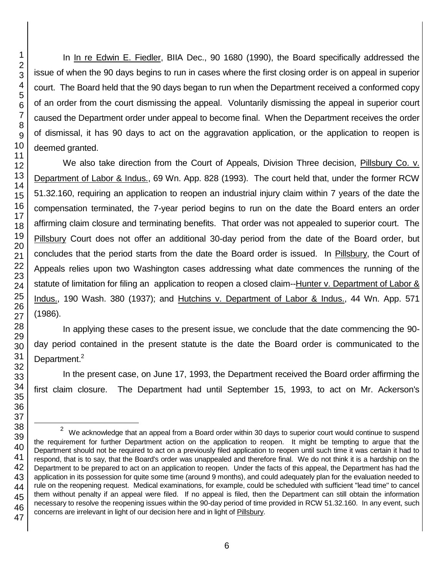l

In In re Edwin E. Fiedler, BIIA Dec., 90 1680 (1990), the Board specifically addressed the issue of when the 90 days begins to run in cases where the first closing order is on appeal in superior court. The Board held that the 90 days began to run when the Department received a conformed copy of an order from the court dismissing the appeal. Voluntarily dismissing the appeal in superior court caused the Department order under appeal to become final. When the Department receives the order of dismissal, it has 90 days to act on the aggravation application, or the application to reopen is deemed granted.

We also take direction from the Court of Appeals, Division Three decision, Pillsbury Co. v. Department of Labor & Indus., 69 Wn. App. 828 (1993). The court held that, under the former RCW 51.32.160, requiring an application to reopen an industrial injury claim within 7 years of the date the compensation terminated, the 7-year period begins to run on the date the Board enters an order affirming claim closure and terminating benefits. That order was not appealed to superior court. The Pillsbury Court does not offer an additional 30-day period from the date of the Board order, but concludes that the period starts from the date the Board order is issued. In Pillsbury, the Court of Appeals relies upon two Washington cases addressing what date commences the running of the statute of limitation for filing an application to reopen a closed claim--Hunter v. Department of Labor & Indus., 190 Wash. 380 (1937); and Hutchins v. Department of Labor & Indus., 44 Wn. App. 571 (1986).

In applying these cases to the present issue, we conclude that the date commencing the 90 day period contained in the present statute is the date the Board order is communicated to the Department.<sup>2</sup>

In the present case, on June 17, 1993, the Department received the Board order affirming the first claim closure. The Department had until September 15, 1993, to act on Mr. Ackerson's

 $2$  We acknowledge that an appeal from a Board order within 30 days to superior court would continue to suspend the requirement for further Department action on the application to reopen. It might be tempting to argue that the Department should not be required to act on a previously filed application to reopen until such time it was certain it had to respond, that is to say, that the Board's order was unappealed and therefore final. We do not think it is a hardship on the Department to be prepared to act on an application to reopen. Under the facts of this appeal, the Department has had the application in its possession for quite some time (around 9 months), and could adequately plan for the evaluation needed to rule on the reopening request. Medical examinations, for example, could be scheduled with sufficient "lead time" to cancel them without penalty if an appeal were filed. If no appeal is filed, then the Department can still obtain the information necessary to resolve the reopening issues within the 90-day period of time provided in RCW 51.32.160. In any event, such concerns are irrelevant in light of our decision here and in light of Pillsbury.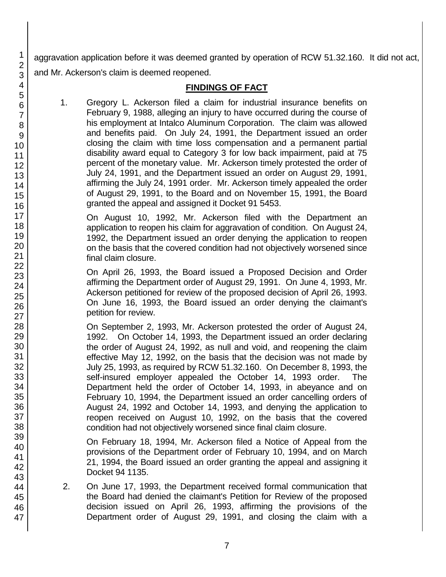aggravation application before it was deemed granted by operation of RCW 51.32.160. It did not act, and Mr. Ackerson's claim is deemed reopened.

# **FINDINGS OF FACT**

1. Gregory L. Ackerson filed a claim for industrial insurance benefits on February 9, 1988, alleging an injury to have occurred during the course of his employment at Intalco Aluminum Corporation. The claim was allowed and benefits paid. On July 24, 1991, the Department issued an order closing the claim with time loss compensation and a permanent partial disability award equal to Category 3 for low back impairment, paid at 75 percent of the monetary value. Mr. Ackerson timely protested the order of July 24, 1991, and the Department issued an order on August 29, 1991, affirming the July 24, 1991 order. Mr. Ackerson timely appealed the order of August 29, 1991, to the Board and on November 15, 1991, the Board granted the appeal and assigned it Docket 91 5453.

On August 10, 1992, Mr. Ackerson filed with the Department an application to reopen his claim for aggravation of condition. On August 24, 1992, the Department issued an order denying the application to reopen on the basis that the covered condition had not objectively worsened since final claim closure.

On April 26, 1993, the Board issued a Proposed Decision and Order affirming the Department order of August 29, 1991. On June 4, 1993, Mr. Ackerson petitioned for review of the proposed decision of April 26, 1993. On June 16, 1993, the Board issued an order denying the claimant's petition for review.

On September 2, 1993, Mr. Ackerson protested the order of August 24, 1992. On October 14, 1993, the Department issued an order declaring the order of August 24, 1992, as null and void, and reopening the claim effective May 12, 1992, on the basis that the decision was not made by July 25, 1993, as required by RCW 51.32.160. On December 8, 1993, the self-insured employer appealed the October 14, 1993 order. The Department held the order of October 14, 1993, in abeyance and on February 10, 1994, the Department issued an order cancelling orders of August 24, 1992 and October 14, 1993, and denying the application to reopen received on August 10, 1992, on the basis that the covered condition had not objectively worsened since final claim closure.

On February 18, 1994, Mr. Ackerson filed a Notice of Appeal from the provisions of the Department order of February 10, 1994, and on March 21, 1994, the Board issued an order granting the appeal and assigning it Docket 94 1135.

2. On June 17, 1993, the Department received formal communication that the Board had denied the claimant's Petition for Review of the proposed decision issued on April 26, 1993, affirming the provisions of the Department order of August 29, 1991, and closing the claim with a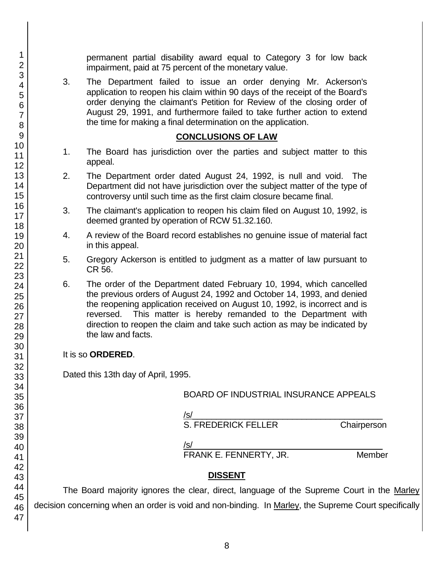permanent partial disability award equal to Category 3 for low back impairment, paid at 75 percent of the monetary value.

3. The Department failed to issue an order denying Mr. Ackerson's application to reopen his claim within 90 days of the receipt of the Board's order denying the claimant's Petition for Review of the closing order of August 29, 1991, and furthermore failed to take further action to extend the time for making a final determination on the application.

#### **CONCLUSIONS OF LAW**

- 1. The Board has jurisdiction over the parties and subject matter to this appeal.
- 2. The Department order dated August 24, 1992, is null and void. The Department did not have jurisdiction over the subject matter of the type of controversy until such time as the first claim closure became final.
- 3. The claimant's application to reopen his claim filed on August 10, 1992, is deemed granted by operation of RCW 51.32.160.
- 4. A review of the Board record establishes no genuine issue of material fact in this appeal.
- 5. Gregory Ackerson is entitled to judgment as a matter of law pursuant to CR 56.
- 6. The order of the Department dated February 10, 1994, which cancelled the previous orders of August 24, 1992 and October 14, 1993, and denied the reopening application received on August 10, 1992, is incorrect and is reversed. This matter is hereby remanded to the Department with direction to reopen the claim and take such action as may be indicated by the law and facts.

### It is so **ORDERED**.

Dated this 13th day of April, 1995.

### BOARD OF INDUSTRIAL INSURANCE APPEALS

/s/\_\_\_\_\_\_\_\_\_\_\_\_\_\_\_\_\_\_\_\_\_\_\_\_\_\_\_\_\_\_\_\_\_\_\_\_\_\_\_\_

S. FREDERICK FELLER Chairperson

/s/  $\,$ 

FRANK E. FENNERTY, JR. Member

# **DISSENT**

The Board majority ignores the clear, direct, language of the Supreme Court in the Marley decision concerning when an order is void and non-binding. In Marley, the Supreme Court specifically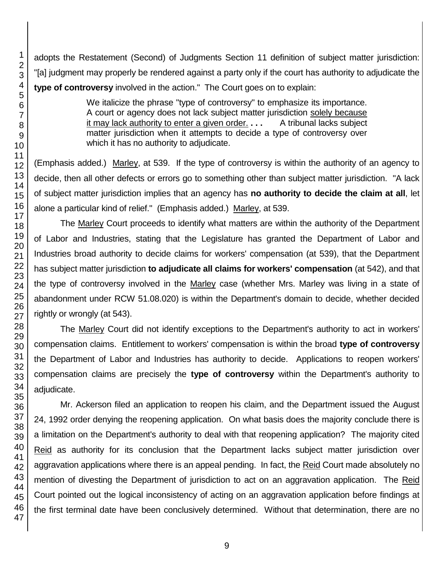adopts the Restatement (Second) of Judgments Section 11 definition of subject matter jurisdiction: "[a] judgment may properly be rendered against a party only if the court has authority to adjudicate the **type of controversy** involved in the action." The Court goes on to explain:

> We italicize the phrase "type of controversy" to emphasize its importance. A court or agency does not lack subject matter jurisdiction solely because it may lack authority to enter a given order. **. . .** A tribunal lacks subject matter jurisdiction when it attempts to decide a type of controversy over which it has no authority to adjudicate.

(Emphasis added.) Marley, at 539. If the type of controversy is within the authority of an agency to decide, then all other defects or errors go to something other than subject matter jurisdiction. "A lack of subject matter jurisdiction implies that an agency has **no authority to decide the claim at all**, let alone a particular kind of relief." (Emphasis added.) Marley, at 539.

The Marley Court proceeds to identify what matters are within the authority of the Department of Labor and Industries, stating that the Legislature has granted the Department of Labor and Industries broad authority to decide claims for workers' compensation (at 539), that the Department has subject matter jurisdiction **to adjudicate all claims for workers' compensation** (at 542), and that the type of controversy involved in the Marley case (whether Mrs. Marley was living in a state of abandonment under RCW 51.08.020) is within the Department's domain to decide, whether decided rightly or wrongly (at 543).

The Marley Court did not identify exceptions to the Department's authority to act in workers' compensation claims. Entitlement to workers' compensation is within the broad **type of controversy** the Department of Labor and Industries has authority to decide. Applications to reopen workers' compensation claims are precisely the **type of controversy** within the Department's authority to adiudicate.

Mr. Ackerson filed an application to reopen his claim, and the Department issued the August 24, 1992 order denying the reopening application. On what basis does the majority conclude there is a limitation on the Department's authority to deal with that reopening application? The majority cited Reid as authority for its conclusion that the Department lacks subject matter jurisdiction over aggravation applications where there is an appeal pending. In fact, the Reid Court made absolutely no mention of divesting the Department of jurisdiction to act on an aggravation application. The Reid Court pointed out the logical inconsistency of acting on an aggravation application before findings at the first terminal date have been conclusively determined. Without that determination, there are no